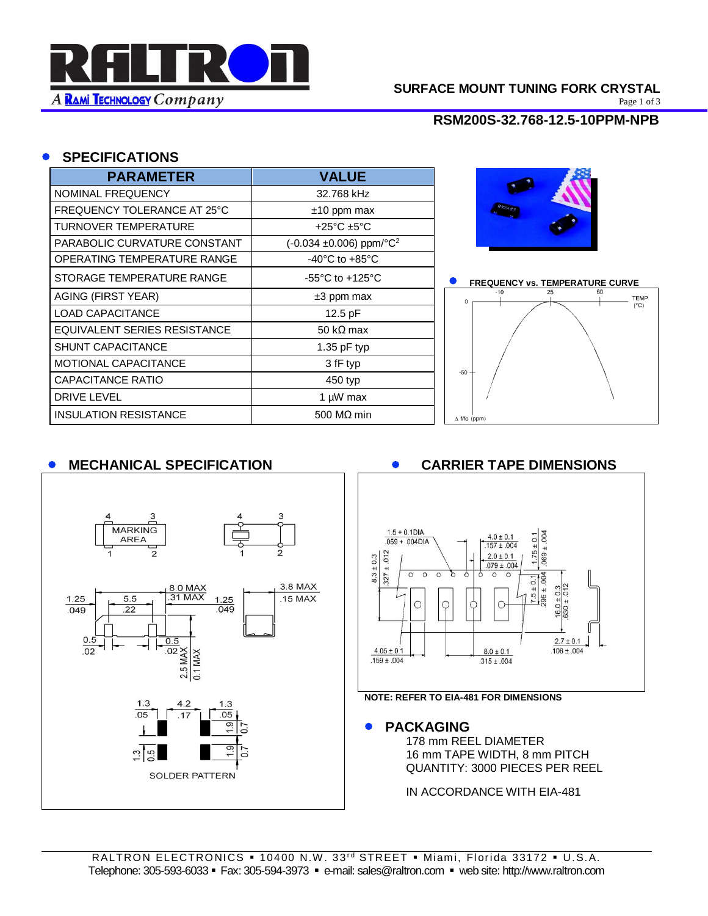

# **SURFACE MOUNT TUNING FORK CRYSTAL**<br>Page 1 of 3

Page 1 of 3

**RSM200S-32.768-12.5-10PPM-NPB**

#### • **SPECIFICATIONS**

| <b>PARAMETER</b>                   | <b>VALUE</b>                             |
|------------------------------------|------------------------------------------|
| NOMINAL FREQUENCY                  | 32.768 kHz                               |
| <b>FREQUENCY TOLERANCE AT 25°C</b> | $±10$ ppm max                            |
| TURNOVER TEMPERATURE               | +25°C ±5°C                               |
| PARABOLIC CURVATURE CONSTANT       | $(-0.034 \pm 0.006)$ ppm/°C <sup>2</sup> |
| OPERATING TEMPERATURE RANGE        | $-40^{\circ}$ C to $+85^{\circ}$ C       |
| STORAGE TEMPERATURE RANGE          | $-55^{\circ}$ C to $+125^{\circ}$ C      |
| <b>AGING (FIRST YEAR)</b>          | ±3 ppm max                               |
| LOAD CAPACITANCE                   | $12.5$ pF                                |
| EQUIVALENT SERIES RESISTANCE       | 50 k $\Omega$ max                        |
| <b>SHUNT CAPACITANCE</b>           | 1.35 $pF$ typ                            |
| <b>MOTIONAL CAPACITANCE</b>        | 3 fF typ                                 |
| CAPACITANCE RATIO                  | 450 typ                                  |
| <b>DRIVE LEVEL</b>                 | 1 µW max                                 |
| <b>INSULATION RESISTANCE</b>       | 500 $MO$ min                             |





# • **MECHANICAL SPECIFICATION** • **CARRIER TAPE DIMENSIONS**





#### **NOTE: REFER TO EIA-481 FOR DIMENSIONS**

#### • **PACKAGING**

178 mm REEL DIAMETER 16 mm TAPE WIDTH, 8 mm PITCH QUANTITY: 3000 PIECES PER REEL

IN ACCORDANCE WITH EIA-481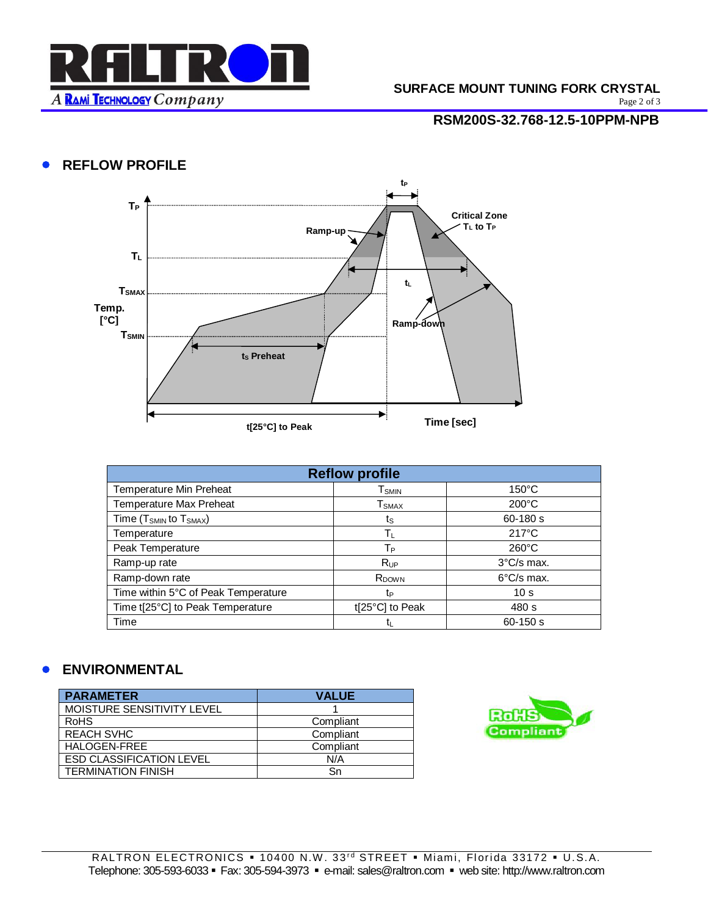

Page 2 of 3

## **RSM200S-32.768-12.5-10PPM-NPB**

# • **REFLOW PROFILE**



| <b>Reflow profile</b>                          |                               |                      |
|------------------------------------------------|-------------------------------|----------------------|
| Temperature Min Preheat                        | ${\mathsf T}_{\mathsf{SMIN}}$ | $150^{\circ}$ C      |
| <b>Temperature Max Preheat</b>                 | <b>T</b> <sub>SMAX</sub>      | $200^{\circ}$ C      |
| Time (T <sub>SMIN</sub> to T <sub>SMAX</sub> ) | ts                            | $60 - 180 s$         |
| Temperature                                    | Tμ                            | $217^{\circ}$ C      |
| Peak Temperature                               | $T_{P}$                       | $260^{\circ}$ C      |
| Ramp-up rate                                   | $R_{UP}$                      | $3^{\circ}$ C/s max. |
| Ramp-down rate                                 | R <sub>DOWN</sub>             | $6^{\circ}$ C/s max. |
| Time within 5°C of Peak Temperature            | tp                            | 10 <sub>s</sub>      |
| Time t[25°C] to Peak Temperature               | t[25°C] to Peak               | 480 s                |
| Time                                           |                               | $60 - 150 s$         |

## • **ENVIRONMENTAL**

| <b>PARAMETER</b>                | <b>VALUE</b> |
|---------------------------------|--------------|
| MOISTURE SENSITIVITY LEVEL      |              |
| <b>RoHS</b>                     | Compliant    |
| <b>REACH SVHC</b>               | Compliant    |
| HALOGEN-FREE                    | Compliant    |
| <b>ESD CLASSIFICATION LEVEL</b> | N/A          |
| <b>TERMINATION FINISH</b>       | Sn           |